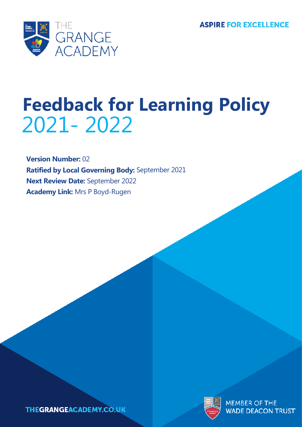

# **Feedback for Learning Policy** 2021- 2022

**Version Number:** 02 **Ratified by Local Governing Body:** September 2021 **Next Review Date:** September 2022 **Academy Link:** Mrs P Boyd-Rugen



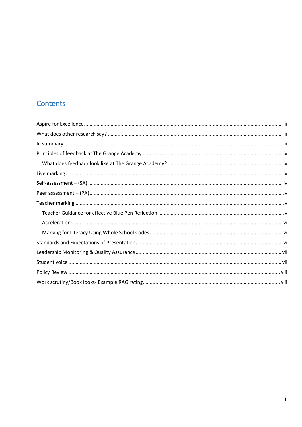## Contents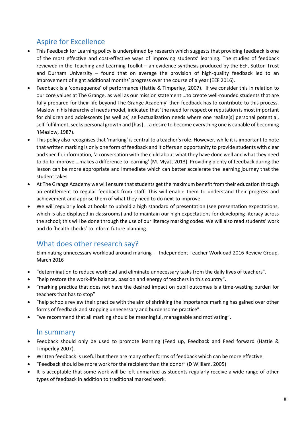# <span id="page-2-0"></span>Aspire for Excellence

- This Feedback for Learning policy is underpinned by research which suggests that providing feedback is one of the most effective and cost-effective ways of improving students' learning. The studies of feedback reviewed in the Teaching and Learning Toolkit – an evidence synthesis produced by the EEF, Sutton Trust and Durham University – found that on average the provision of high-quality feedback led to an improvement of eight additional months' progress over the course of a year (EEF 2016).
- Feedback is a 'consequence' of performance (Hattie & Timperley, 2007). If we consider this in relation to our core values at The Grange, as well as our mission statement …to create well-rounded students that are fully prepared for their life beyond The Grange Academy' then feedback has to contribute to this process. Maslow in his hierarchy of needs model, indicated that 'the need for respect or reputation is most important for children and adolescents [as well as] self-actualization needs where one realise[s] personal potential, self-fulfilment, seeks personal growth and [has] … a desire to become everything one is capable of becoming '(Maslow, 1987).
- This policy also recognises that 'marking' is central to a teacher's role. However, while it is important to note that written marking is only one form of feedback and it offers an opportunity to provide students with clear and specific information, 'a conversation with the child about what they have done well and what they need to do to improve …makes a difference to learning' (M. Myatt 2013). Providing plenty of feedback during the lesson can be more appropriate and immediate which can better accelerate the learning journey that the student takes.
- At The Grange Academy we will ensure that students get the maximum benefit from their education through an entitlement to regular feedback from staff. This will enable them to understand their progress and achievement and apprise them of what they need to do next to improve.
- We will regularly look at books to uphold a high standard of presentation (see presentation expectations, which is also displayed in classrooms) and to maintain our high expectations for developing literacy across the school; this will be done through the use of our literacy marking codes. We will also read students' work and do 'health checks' to inform future planning.

## <span id="page-2-1"></span>What does other research say?

Eliminating unnecessary workload around marking - Independent Teacher Workload 2016 Review Group, March 2016

- "determination to reduce workload and eliminate unnecessary tasks from the daily lives of teachers".
- "help restore the work-life balance, passion and energy of teachers in this country".
- "marking practice that does not have the desired impact on pupil outcomes is a time-wasting burden for teachers that has to stop"
- "help schools review their practice with the aim of shrinking the importance marking has gained over other forms of feedback and stopping unnecessary and burdensome practice".
- "we recommend that all marking should be meaningful, manageable and motivating".

## <span id="page-2-2"></span>In summary

- Feedback should only be used to promote learning (Feed up, Feedback and Feed forward (Hattie & Timperley 2007).
- Written feedback is useful but there are many other forms of feedback which can be more effective.
- "Feedback should be more work for the recipient than the donor" (D William, 2005)
- It is acceptable that some work will be left unmarked as students regularly receive a wide range of other types of feedback in addition to traditional marked work.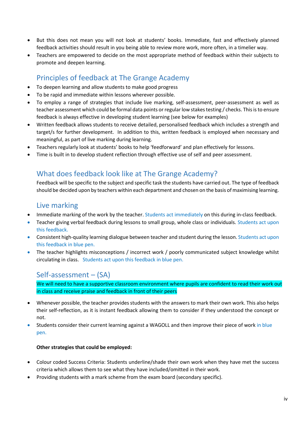- But this does not mean you will not look at students' books. Immediate, fast and effectively planned feedback activities should result in you being able to review more work, more often, in a timelier way.
- Teachers are empowered to decide on the most appropriate method of feedback within their subjects to promote and deepen learning.

## <span id="page-3-0"></span>Principles of feedback at The Grange Academy

- To deepen learning and allow students to make good progress
- To be rapid and immediate within lessons wherever possible.
- To employ a range of strategies that include live marking, self-assessment, peer-assessment as well as teacher assessment which could be formal data points or regular low stakes testing / checks. This is to ensure feedback is always effective in developing student learning (see below for examples)
- Written feedback allows students to receive detailed, personalised feedback which includes a strength and target/s for further development. In addition to this, written feedback is employed when necessary and meaningful, as part of live marking during learning.
- Teachers regularly look at students' books to help 'feedforward' and plan effectively for lessons.
- Time is built in to develop student reflection through effective use of self and peer assessment.

## <span id="page-3-1"></span>What does feedback look like at The Grange Academy?

Feedback will be specific to the subject and specific task the students have carried out. The type of feedback should be decided upon by teachers within each department and chosen on the basis of maximising learning.

## <span id="page-3-2"></span>Live marking

- Immediate marking of the work by the teacher. Students act immediately on this during in-class feedback.
- Teacher giving verbal feedback during lessons to small group, whole class or individuals. Students act upon this feedback.
- Consistent high-quality learning dialogue between teacher and student during the lesson. Students act upon this feedback in blue pen.
- The teacher highlights misconceptions / incorrect work / poorly communicated subject knowledge whilst circulating in class. Students act upon this feedback in blue pen.

## <span id="page-3-3"></span>Self-assessment – (SA)

We will need to have a supportive classroom environment where pupils are confident to read their work out in class and receive praise and feedback in front of their peers

- Whenever possible, the teacher provides students with the answers to mark their own work. This also helps their self-reflection, as it is instant feedback allowing them to consider if they understood the concept or not.
- Students consider their current learning against a WAGOLL and then improve their piece of work in blue pen.

#### **Other strategies that could be employed:**

- Colour coded Success Criteria: Students underline/shade their own work when they have met the success criteria which allows them to see what they have included/omitted in their work.
- Providing students with a mark scheme from the exam board (secondary specific).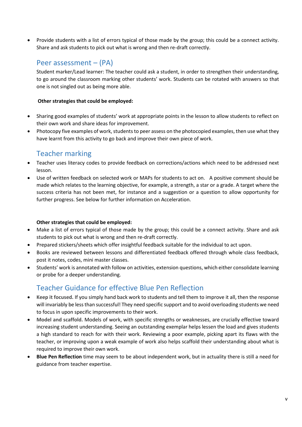• Provide students with a list of errors typical of those made by the group; this could be a connect activity. Share and ask students to pick out what is wrong and then re-draft correctly.

## <span id="page-4-0"></span>Peer assessment – (PA)

Student marker/Lead learner: The teacher could ask a student, in order to strengthen their understanding, to go around the classroom marking other students' work. Students can be rotated with answers so that one is not singled out as being more able.

#### **Other strategies that could be employed:**

- Sharing good examples of students' work at appropriate points in the lesson to allow students to reflect on their own work and share ideas for improvement.
- Photocopy five examples of work, students to peer assess on the photocopied examples, then use what they have learnt from this activity to go back and improve their own piece of work.

## <span id="page-4-1"></span>Teacher marking

- Teacher uses literacy codes to provide feedback on corrections/actions which need to be addressed next lesson.
- Use of written feedback on selected work or MAPs for students to act on. A positive comment should be made which relates to the learning objective, for example, a strength, a star or a grade. A target where the success criteria has not been met, for instance and a suggestion or a question to allow opportunity for further progress. See below for further information on Acceleration.

#### **Other strategies that could be employed:**

- Make a list of errors typical of those made by the group; this could be a connect activity. Share and ask students to pick out what is wrong and then re-draft correctly.
- Prepared stickers/sheets which offer insightful feedback suitable for the individual to act upon.
- Books are reviewed between lessons and differentiated feedback offered through whole class feedback, post it notes, codes, mini master classes.
- Students' work is annotated with follow on activities, extension questions, which either consolidate learning or probe for a deeper understanding.

## <span id="page-4-2"></span>Teacher Guidance for effective Blue Pen Reflection

- **Keep it focused.** If you simply hand back work to students and tell them to improve it all, then the response will invariably be less than successful! They need specific support and to avoid overloading students we need to focus in upon specific improvements to their work.
- **Model and scaffold.** Models of work, with specific strengths or weaknesses, are crucially effective toward increasing student understanding. Seeing an outstanding exemplar helps lessen the load and gives students a high standard to reach for with their work. Reviewing a poor example, picking apart its flaws with the teacher, or improving upon a weak example of work also helps scaffold their understanding about what is required to improve their own work.
- **Blue Pen Reflection** time may seem to be about independent work, but in actuality there is still a need for guidance from teacher expertise.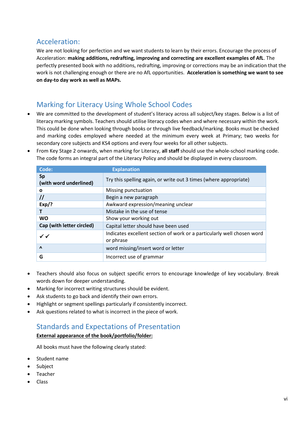## <span id="page-5-0"></span>Acceleration:

We are not looking for perfection and we want students to learn by their errors. Encourage the process of Acceleration: **making additions, redrafting, improving and correcting are excellent examples of AfL**. The perfectly presented book with no additions, redrafting, improving or corrections may be an indication that the work is not challenging enough or there are no AfL opportunities. **Acceleration is something we want to see on day-to day work as well as MAPs.** 

## <span id="page-5-1"></span>Marking for Literacy Using Whole School Codes

- We are committed to the development of student's literacy across all subject/key stages. Below is a list of literacy marking symbols. Teachers should utilise literacy codes when and where necessary within the work. This could be done when looking through books or through live feedback/marking. Books must be checked and marking codes employed where needed at the minimum every week at Primary; two weeks for secondary core subjects and KS4 options and every four weeks for all other subjects.
- From Key Stage 2 onwards, when marking for Literacy, **all staff** should use the whole-school marking code. The code forms an integral part of the Literacy Policy and should be displayed in every classroom.

| Code:                               | <b>Explanation</b>                                                                  |
|-------------------------------------|-------------------------------------------------------------------------------------|
| <b>Sp</b><br>(with word underlined) | Try this spelling again, or write out 3 times (where appropriate)                   |
| O                                   | Missing punctuation                                                                 |
| $^{\prime\prime}$                   | Begin a new paragraph                                                               |
| $Exp$ ?                             | Awkward expression/meaning unclear                                                  |
|                                     | Mistake in the use of tense                                                         |
| <b>WO</b>                           | Show your working out                                                               |
| Cap (with letter circled)           | Capital letter should have been used                                                |
| $\checkmark$                        | Indicates excellent section of work or a particularly well chosen word<br>or phrase |
| $\Lambda$                           | word missing/insert word or letter                                                  |
| G                                   | Incorrect use of grammar                                                            |

- Teachers should also focus on subject specific errors to encourage knowledge of key vocabulary. Break words down for deeper understanding.
- Marking for incorrect writing structures should be evident.
- Ask students to go back and identify their own errors.
- Highlight or segment spellings particularly if consistently incorrect.
- Ask questions related to what is incorrect in the piece of work.

## <span id="page-5-2"></span>Standards and Expectations of Presentation

#### **External appearance of the book/portfolio/folder:**

All books must have the following clearly stated:

- Student name
- Subject
- **Teacher**
- Class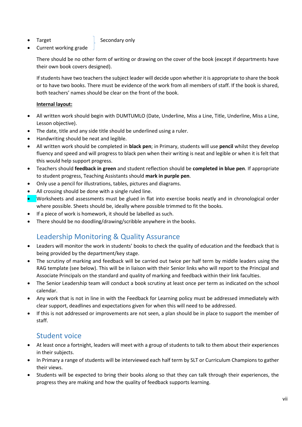### Target **Secondary only**

• Current working grade

There should be no other form of writing or drawing on the cover of the book (except if departments have their own book covers designed).

If students have two teachers the subject leader will decide upon whether it is appropriate to share the book or to have two books. There must be evidence of the work from all members of staff. If the book is shared, both teachers' names should be clear on the front of the book.

## **Internal layout:**

- All written work should begin with DUMTUMLO (Date, Underline, Miss a Line, Title, Underline, Miss a Line, Lesson objective).
- The date, title and any side title should be underlined using a ruler.
- Handwriting should be neat and legible.
- All written work should be completed in **black pen**; in Primary, students will use **pencil** whilst they develop fluency and speed and will progress to black pen when their writing is neat and legible or when it is felt that this would help support progress.
- Teachers should **feedback in green** and student reflection should be **completed in blue pen**. If appropriate to student progress, Teaching Assistants should **mark in purple pen**.
- Only use a pencil for illustrations, tables, pictures and diagrams.
- All crossing should be done with a single ruled line.
- Worksheets and assessments must be glued in flat into exercise books neatly and in chronological order where possible. Sheets should be, ideally where possible trimmed to fit the books.
- If a piece of work is homework, it should be labelled as such.
- There should be no doodling/drawing/scribble anywhere in the books.

# <span id="page-6-0"></span>Leadership Monitoring & Quality Assurance

- Leaders will monitor the work in students' books to check the quality of education and the feedback that is being provided by the department/key stage.
- The scrutiny of marking and feedback will be carried out twice per half term by middle leaders using the RAG template (see below). This will be in liaison with their Senior links who will report to the Principal and Associate Principals on the standard and quality of marking and feedback within their link faculties.
- The Senior Leadership team will conduct a book scrutiny at least once per term as indicated on the school calendar.
- Any work that is not in line in with the Feedback for Learning policy must be addressed immediately with clear support, deadlines and expectations given for when this will need to be addressed.
- If this is not addressed or improvements are not seen, a plan should be in place to support the member of staff.

## <span id="page-6-1"></span>Student voice

- At least once a fortnight, leaders will meet with a group of students to talk to them about their experiences in their subjects.
- In Primary a range of students will be interviewed each half term by SLT or Curriculum Champions to gather their views.
- Students will be expected to bring their books along so that they can talk through their experiences, the progress they are making and how the quality of feedback supports learning.